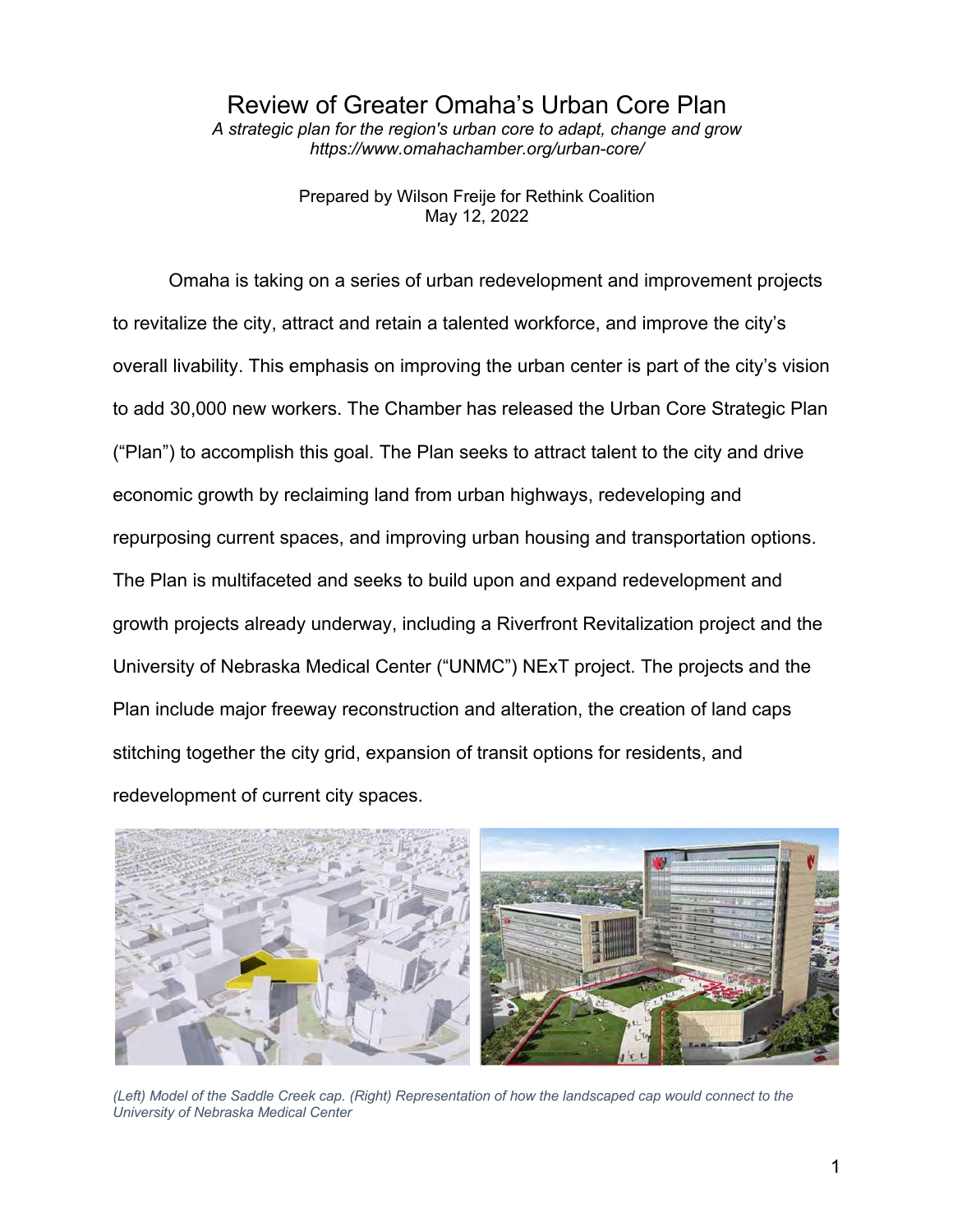Review of Greater Omaha's Urban Core Plan

*A strategic plan for the region's urban core to adapt, change and grow https://www.omahachamber.org/urban-core/*

> Prepared by Wilson Freije for Rethink Coalition May 12, 2022

Omaha is taking on a series of urban redevelopment and improvement projects to revitalize the city, attract and retain a talented workforce, and improve the city's overall livability. This emphasis on improving the urban center is part of the city's vision to add 30,000 new workers. The Chamber has released the Urban Core Strategic Plan ("Plan") to accomplish this goal. The Plan seeks to attract talent to the city and drive economic growth by reclaiming land from urban highways, redeveloping and repurposing current spaces, and improving urban housing and transportation options. The Plan is multifaceted and seeks to build upon and expand redevelopment and growth projects already underway, including a Riverfront Revitalization project and the University of Nebraska Medical Center ("UNMC") NExT project. The projects and the Plan include major freeway reconstruction and alteration, the creation of land caps stitching together the city grid, expansion of transit options for residents, and redevelopment of current city spaces.



*(Left) Model of the Saddle Creek cap. (Right) Representation of how the landscaped cap would connect to the University of Nebraska Medical Center*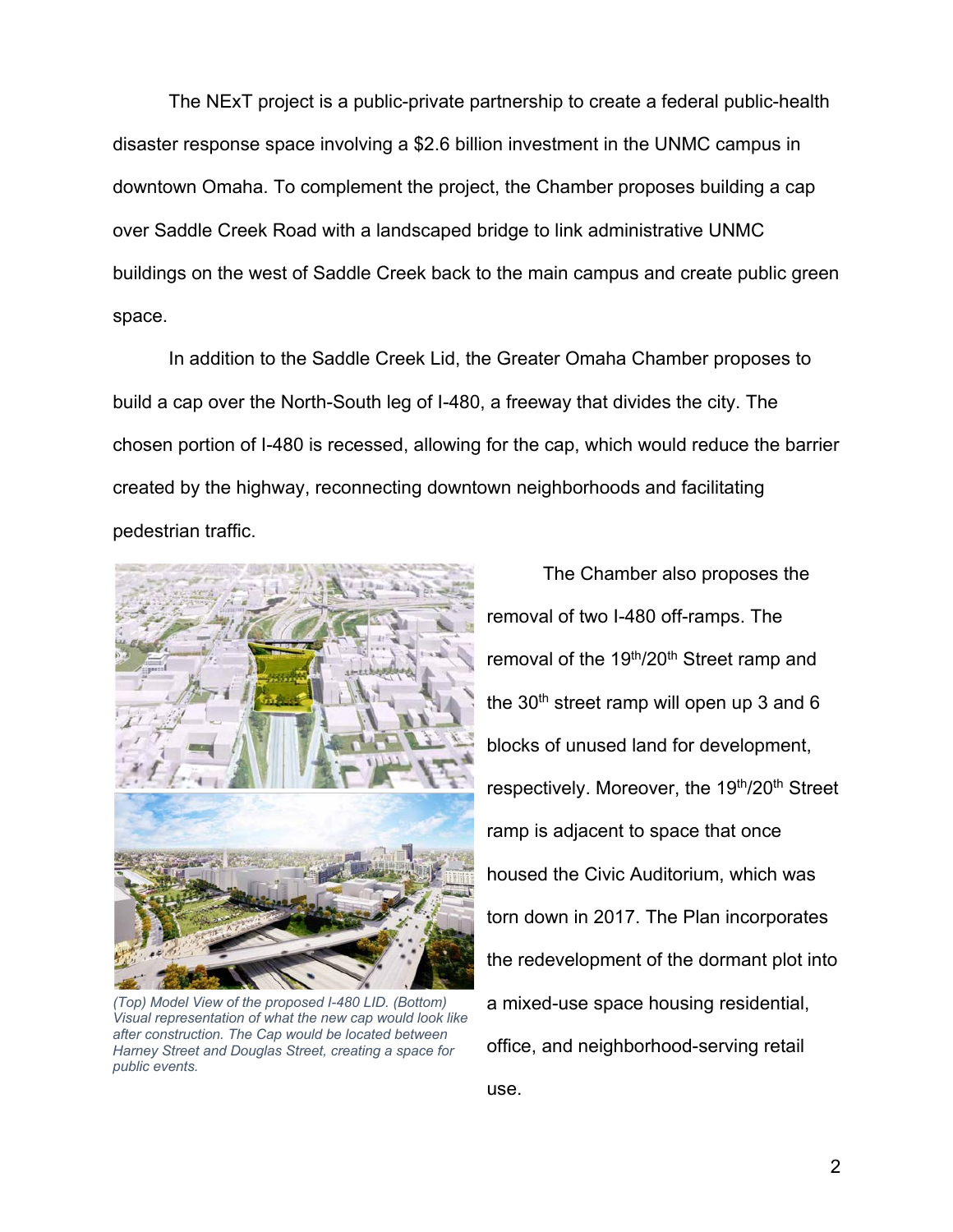The NExT project is a public-private partnership to create a federal public-health disaster response space involving a \$2.6 billion investment in the UNMC campus in downtown Omaha. To complement the project, the Chamber proposes building a cap over Saddle Creek Road with a landscaped bridge to link administrative UNMC buildings on the west of Saddle Creek back to the main campus and create public green space.

In addition to the Saddle Creek Lid, the Greater Omaha Chamber proposes to build a cap over the North-South leg of I-480, a freeway that divides the city. The chosen portion of I-480 is recessed, allowing for the cap, which would reduce the barrier created by the highway, reconnecting downtown neighborhoods and facilitating pedestrian traffic.



*(Top) Model View of the proposed I-480 LID. (Bottom) Visual representation of what the new cap would look like after construction. The Cap would be located between Harney Street and Douglas Street, creating a space for public events.*

The Chamber also proposes the removal of two I-480 off-ramps. The removal of the 19<sup>th</sup>/20<sup>th</sup> Street ramp and the  $30<sup>th</sup>$  street ramp will open up 3 and 6 blocks of unused land for development, respectively. Moreover, the 19<sup>th</sup>/20<sup>th</sup> Street ramp is adjacent to space that once housed the Civic Auditorium, which was torn down in 2017. The Plan incorporates the redevelopment of the dormant plot into a mixed-use space housing residential, office, and neighborhood-serving retail use.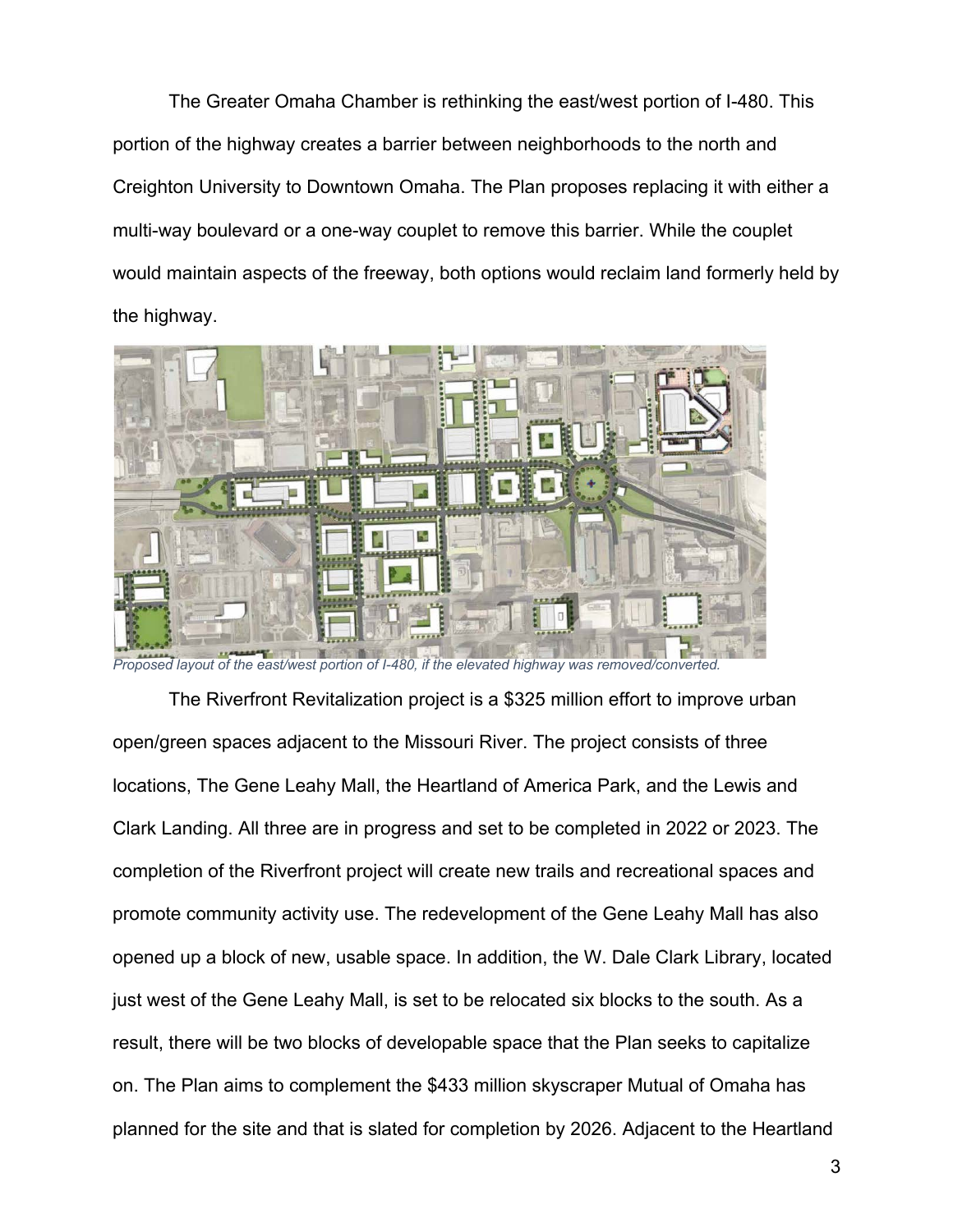The Greater Omaha Chamber is rethinking the east/west portion of I-480. This portion of the highway creates a barrier between neighborhoods to the north and Creighton University to Downtown Omaha. The Plan proposes replacing it with either a multi-way boulevard or a one-way couplet to remove this barrier. While the couplet would maintain aspects of the freeway, both options would reclaim land formerly held by the highway.



*Proposed layout of the east/west portion of I-480, if the elevated highway was removed/converted.* 

The Riverfront Revitalization project is a \$325 million effort to improve urban open/green spaces adjacent to the Missouri River. The project consists of three locations, The Gene Leahy Mall, the Heartland of America Park, and the Lewis and Clark Landing. All three are in progress and set to be completed in 2022 or 2023. The completion of the Riverfront project will create new trails and recreational spaces and promote community activity use. The redevelopment of the Gene Leahy Mall has also opened up a block of new, usable space. In addition, the W. Dale Clark Library, located just west of the Gene Leahy Mall, is set to be relocated six blocks to the south. As a result, there will be two blocks of developable space that the Plan seeks to capitalize on. The Plan aims to complement the \$433 million skyscraper Mutual of Omaha has planned for the site and that is slated for completion by 2026. Adjacent to the Heartland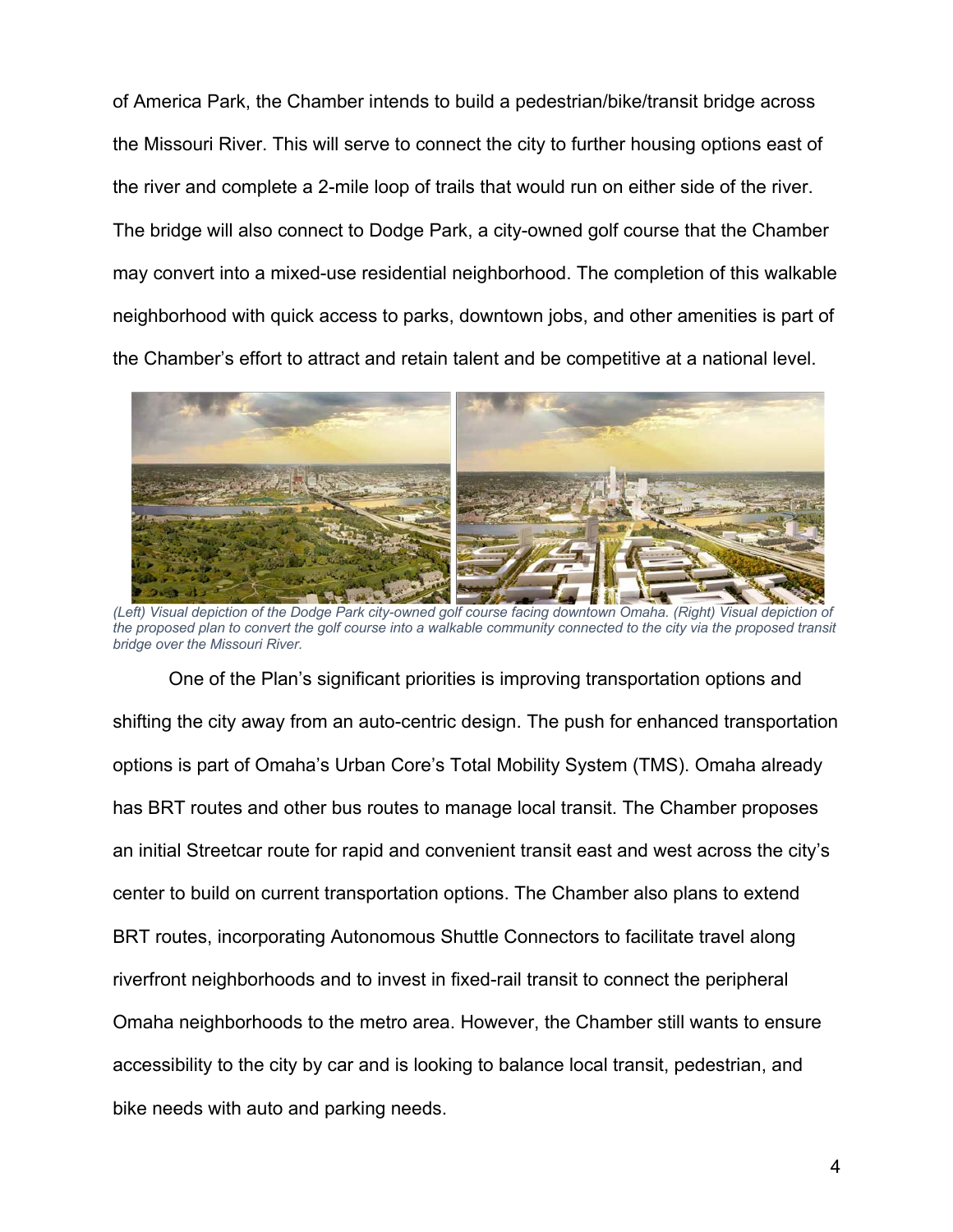of America Park, the Chamber intends to build a pedestrian/bike/transit bridge across the Missouri River. This will serve to connect the city to further housing options east of the river and complete a 2-mile loop of trails that would run on either side of the river. The bridge will also connect to Dodge Park, a city-owned golf course that the Chamber may convert into a mixed-use residential neighborhood. The completion of this walkable neighborhood with quick access to parks, downtown jobs, and other amenities is part of the Chamber's effort to attract and retain talent and be competitive at a national level.



*(Left) Visual depiction of the Dodge Park city-owned golf course facing downtown Omaha. (Right) Visual depiction of*  the proposed plan to convert the golf course into a walkable community connected to the city via the proposed transit *bridge over the Missouri River.*

One of the Plan's significant priorities is improving transportation options and shifting the city away from an auto-centric design. The push for enhanced transportation options is part of Omaha's Urban Core's Total Mobility System (TMS). Omaha already has BRT routes and other bus routes to manage local transit. The Chamber proposes an initial Streetcar route for rapid and convenient transit east and west across the city's center to build on current transportation options. The Chamber also plans to extend BRT routes, incorporating Autonomous Shuttle Connectors to facilitate travel along riverfront neighborhoods and to invest in fixed-rail transit to connect the peripheral Omaha neighborhoods to the metro area. However, the Chamber still wants to ensure accessibility to the city by car and is looking to balance local transit, pedestrian, and bike needs with auto and parking needs.